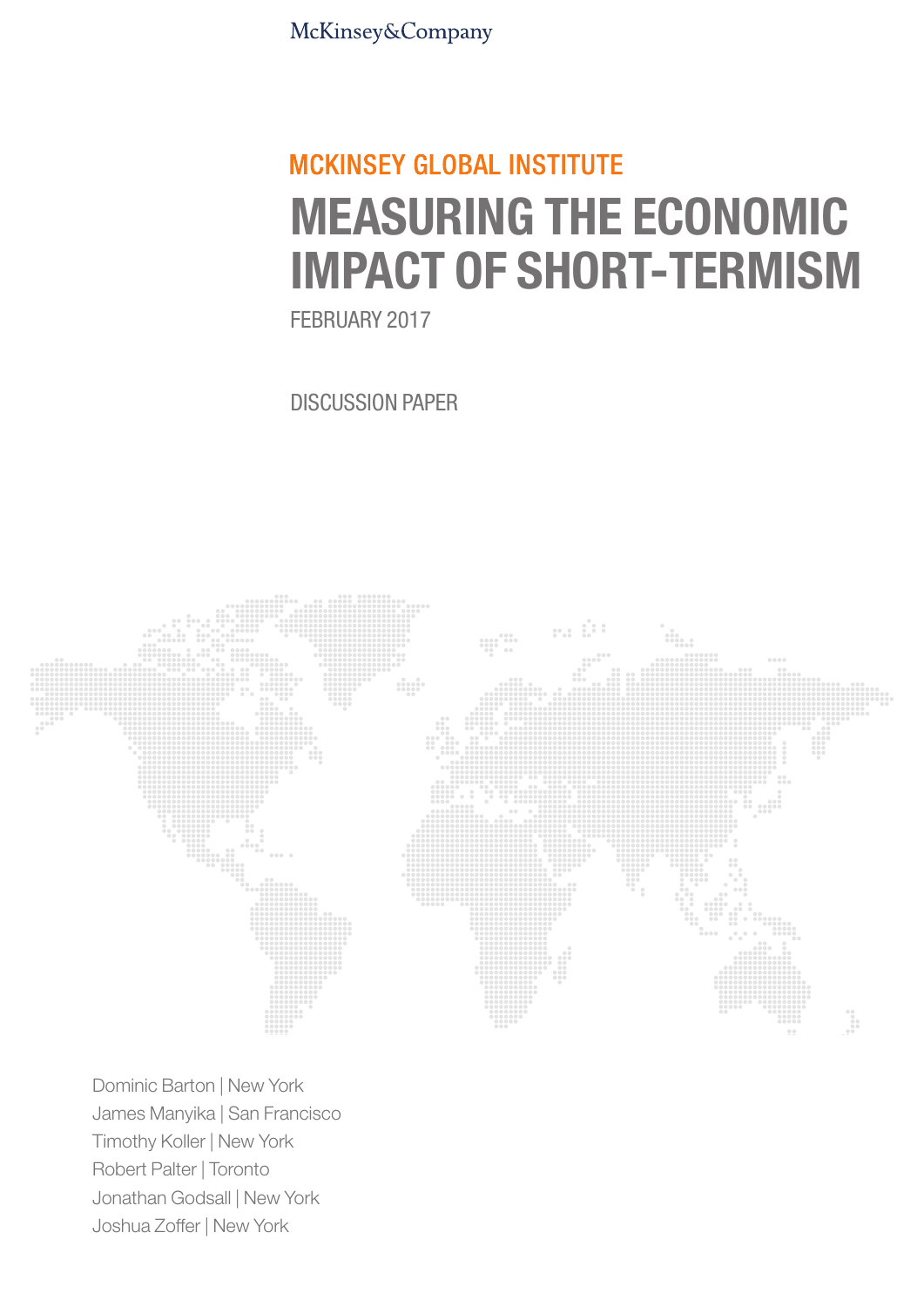McKinsey&Company

## **MCKINSEY GLOBAL INSTITUTE** MEASURING THE ECONOMIC IMPACT OF SHORT-TERMISM

FEBRUARY 2017

DISCUSSION PAPER



Dominic Barton | New York James Manyika | San Francisco Timothy Koller | New York Robert Palter | Toronto Jonathan Godsall | New York Joshua Zoffer | New York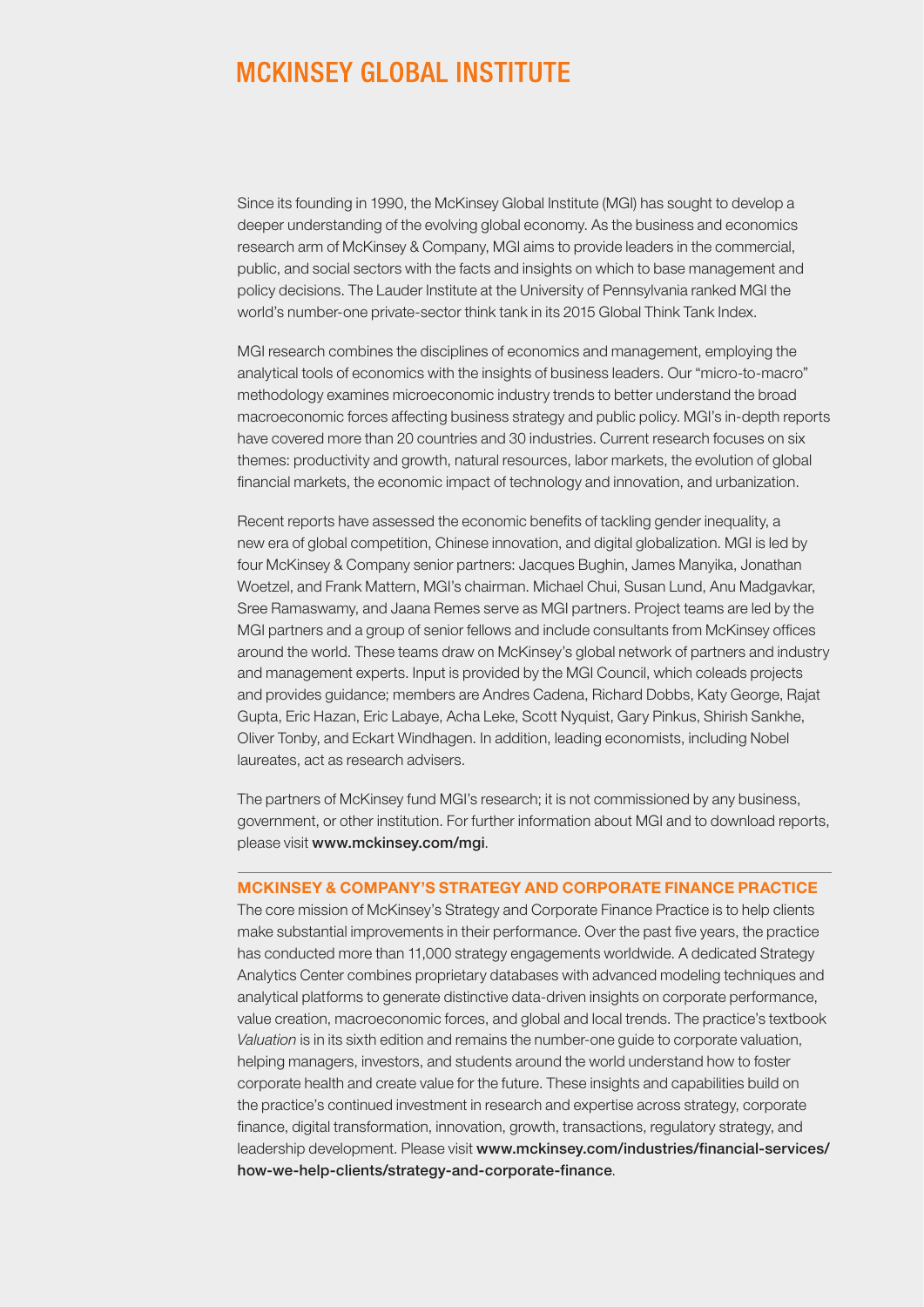### **MCKINSEY GLOBAL INSTITUTE**

Since its founding in 1990, the McKinsey Global Institute (MGI) has sought to develop a deeper understanding of the evolving global economy. As the business and economics research arm of McKinsey & Company, MGI aims to provide leaders in the commercial, public, and social sectors with the facts and insights on which to base management and policy decisions. The Lauder Institute at the University of Pennsylvania ranked MGI the world's number-one private-sector think tank in its 2015 Global Think Tank Index.

MGI research combines the disciplines of economics and management, employing the analytical tools of economics with the insights of business leaders. Our "micro-to-macro" methodology examines microeconomic industry trends to better understand the broad macroeconomic forces affecting business strategy and public policy. MGI's in-depth reports have covered more than 20 countries and 30 industries. Current research focuses on six themes: productivity and growth, natural resources, labor markets, the evolution of global financial markets, the economic impact of technology and innovation, and urbanization.

Recent reports have assessed the economic benefits of tackling gender inequality, a new era of global competition, Chinese innovation, and digital globalization. MGI is led by four McKinsey & Company senior partners: Jacques Bughin, James Manyika, Jonathan Woetzel, and Frank Mattern, MGI's chairman. Michael Chui, Susan Lund, Anu Madgavkar, Sree Ramaswamy, and Jaana Remes serve as MGI partners. Project teams are led by the MGI partners and a group of senior fellows and include consultants from McKinsey offices around the world. These teams draw on McKinsey's global network of partners and industry and management experts. Input is provided by the MGI Council, which coleads projects and provides guidance; members are Andres Cadena, Richard Dobbs, Katy George, Rajat Gupta, Eric Hazan, Eric Labaye, Acha Leke, Scott Nyquist, Gary Pinkus, Shirish Sankhe, Oliver Tonby, and Eckart Windhagen. In addition, leading economists, including Nobel laureates, act as research advisers.

The partners of McKinsey fund MGI's research; it is not commissioned by any business, government, or other institution. For further information about MGI and to download reports, please visit www.mckinsey.com/mgi.

#### MCKINSEY & COMPANY'S STRATEGY AND CORPORATE FINANCE PRACTICE

The core mission of McKinsey's Strategy and Corporate Finance Practice is to help clients make substantial improvements in their performance. Over the past five years, the practice has conducted more than 11,000 strategy engagements worldwide. A dedicated Strategy Analytics Center combines proprietary databases with advanced modeling techniques and analytical platforms to generate distinctive data-driven insights on corporate performance, value creation, macroeconomic forces, and global and local trends. The practice's textbook *Valuation* is in its sixth edition and remains the number-one guide to corporate valuation, helping managers, investors, and students around the world understand how to foster corporate health and create value for the future. These insights and capabilities build on the practice's continued investment in research and expertise across strategy, corporate finance, digital transformation, innovation, growth, transactions, regulatory strategy, and leadership development. Please visit www.mckinsey.com/industries/financial-services/ how-we-help-clients/strategy-and-corporate-finance.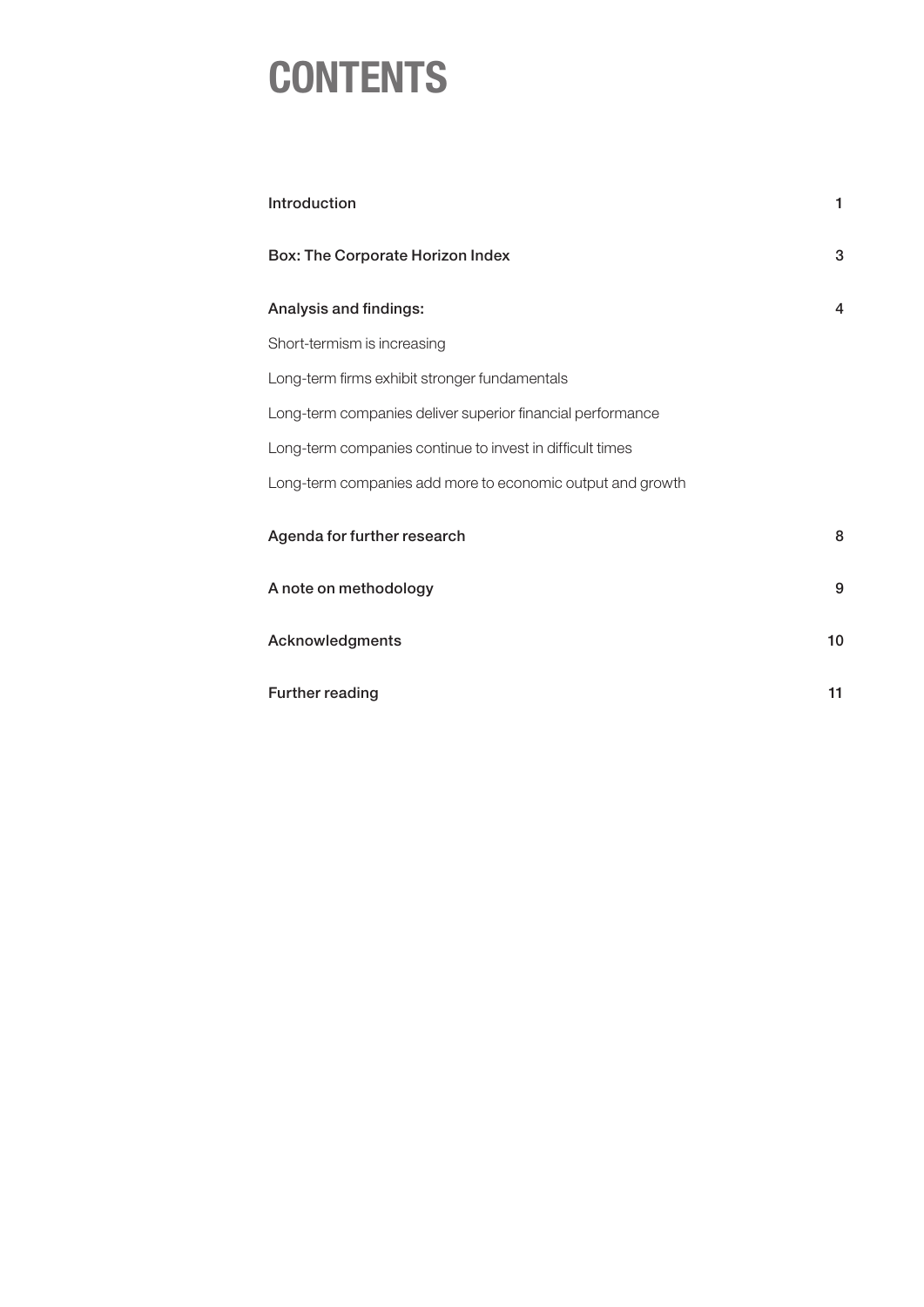### **CONTENTS**

| Introduction                                               | 1  |
|------------------------------------------------------------|----|
| <b>Box: The Corporate Horizon Index</b>                    | 3  |
| Analysis and findings:                                     | 4  |
| Short-termism is increasing                                |    |
| Long-term firms exhibit stronger fundamentals              |    |
| Long-term companies deliver superior financial performance |    |
| Long-term companies continue to invest in difficult times  |    |
| Long-term companies add more to economic output and growth |    |
| Agenda for further research                                | 8  |
| A note on methodology                                      | 9  |
| Acknowledgments                                            | 10 |
| Further reading                                            | 11 |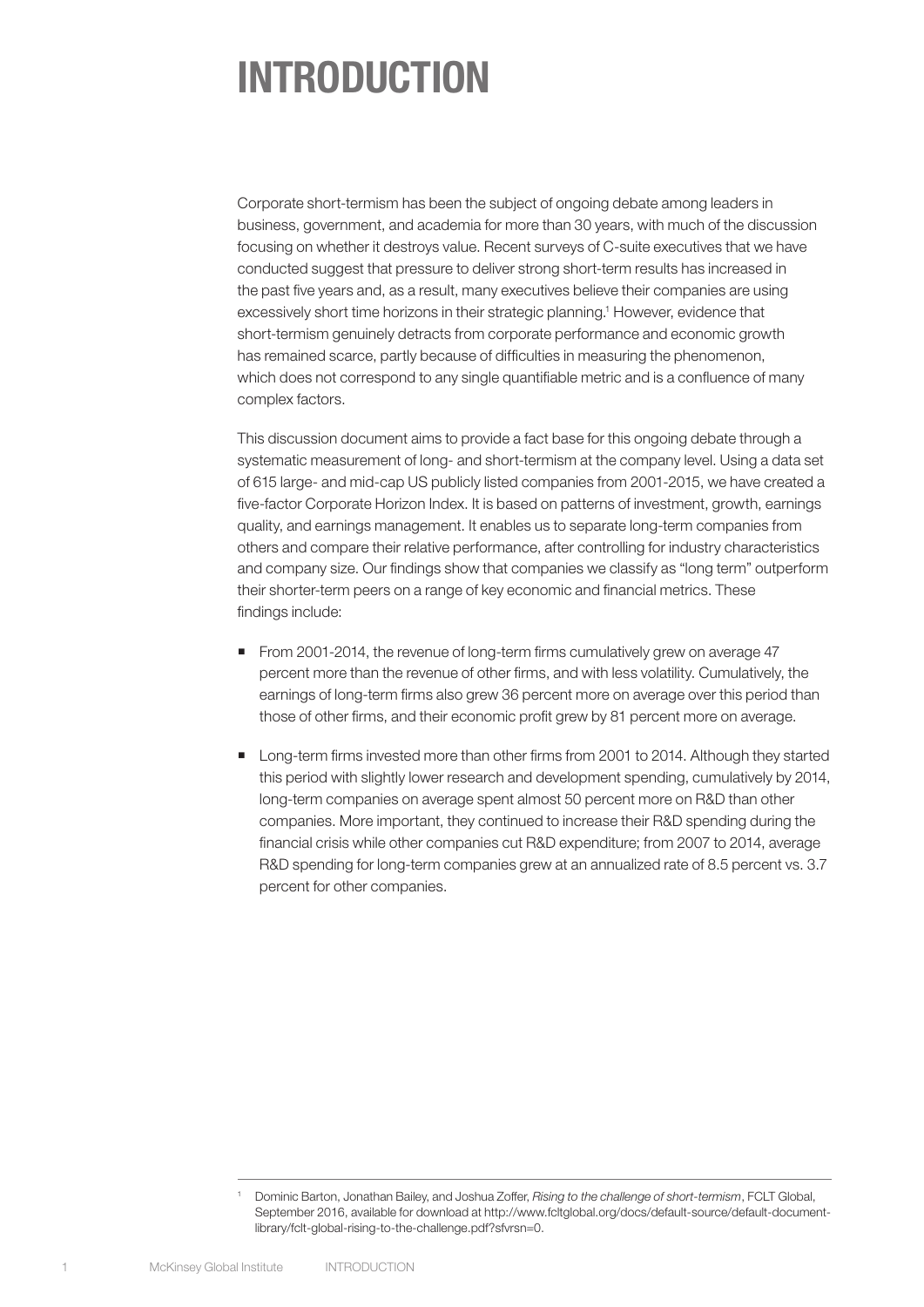## INTRODUCTION

Corporate short-termism has been the subject of ongoing debate among leaders in business, government, and academia for more than 30 years, with much of the discussion focusing on whether it destroys value. Recent surveys of C-suite executives that we have conducted suggest that pressure to deliver strong short-term results has increased in the past five years and, as a result, many executives believe their companies are using excessively short time horizons in their strategic planning.<sup>1</sup> However, evidence that short-termism genuinely detracts from corporate performance and economic growth has remained scarce, partly because of difficulties in measuring the phenomenon, which does not correspond to any single quantifiable metric and is a confluence of many complex factors.

This discussion document aims to provide a fact base for this ongoing debate through a systematic measurement of long- and short-termism at the company level. Using a data set of 615 large- and mid-cap US publicly listed companies from 2001-2015, we have created a five-factor Corporate Horizon Index. It is based on patterns of investment, growth, earnings quality, and earnings management. It enables us to separate long-term companies from others and compare their relative performance, after controlling for industry characteristics and company size. Our findings show that companies we classify as "long term" outperform their shorter-term peers on a range of key economic and financial metrics. These findings include:

- From 2001-2014, the revenue of long-term firms cumulatively grew on average 47 percent more than the revenue of other firms, and with less volatility. Cumulatively, the earnings of long-term firms also grew 36 percent more on average over this period than those of other firms, and their economic profit grew by 81 percent more on average.
- **Long-term firms invested more than other firms from 2001 to 2014. Although they started** this period with slightly lower research and development spending, cumulatively by 2014, long-term companies on average spent almost 50 percent more on R&D than other companies. More important, they continued to increase their R&D spending during the financial crisis while other companies cut R&D expenditure; from 2007 to 2014, average R&D spending for long-term companies grew at an annualized rate of 8.5 percent vs. 3.7 percent for other companies.

<sup>1</sup> Dominic Barton, Jonathan Bailey, and Joshua Zoffer, *Rising to the challenge of short-termism*, FCLT Global, September 2016, available for download at http://www.fcltglobal.org/docs/default-source/default-documentlibrary/fclt-global-rising-to-the-challenge.pdf?sfvrsn=0.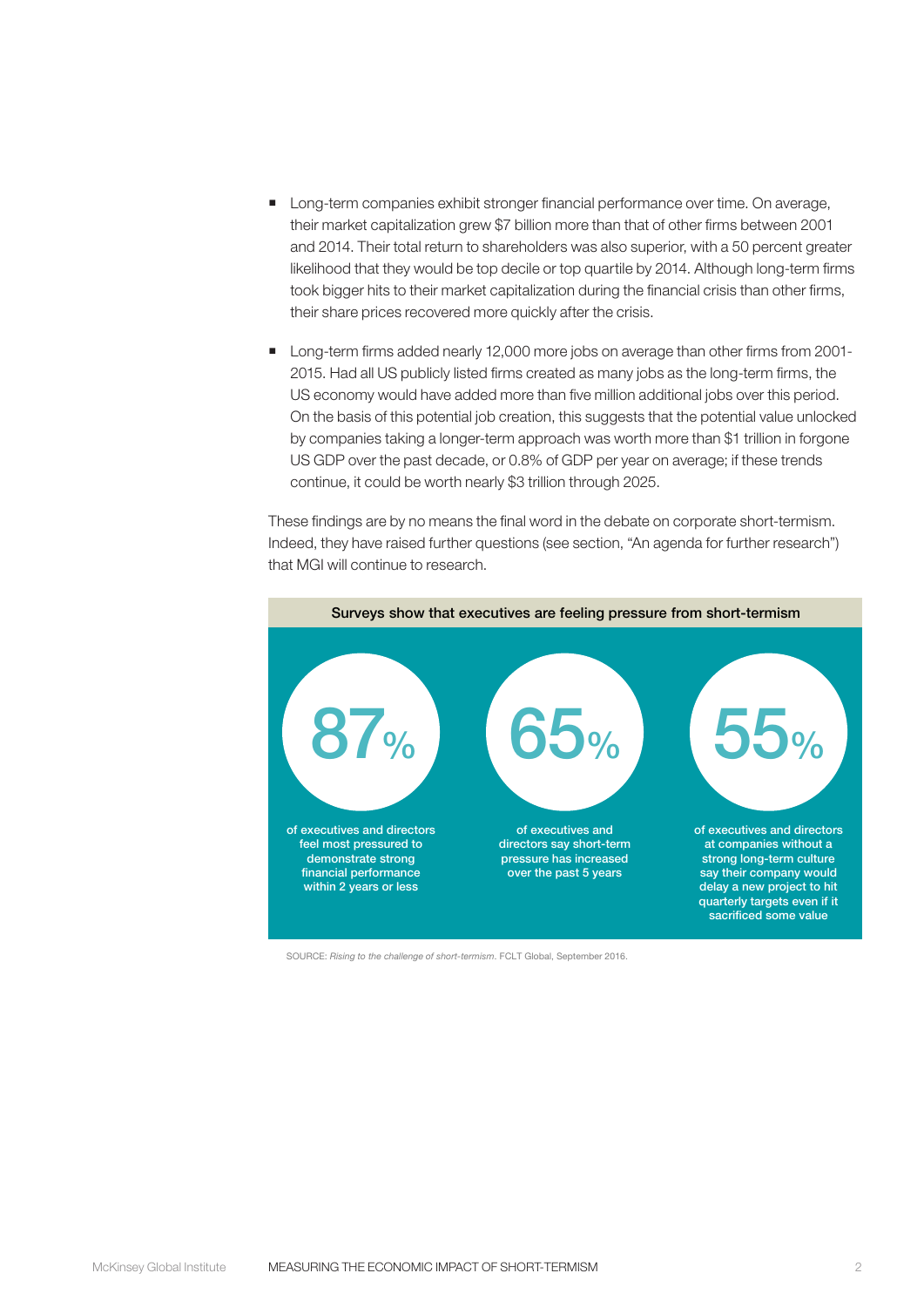- **Long-term companies exhibit stronger financial performance over time. On average,** their market capitalization grew \$7 billion more than that of other firms between 2001 and 2014. Their total return to shareholders was also superior, with a 50 percent greater likelihood that they would be top decile or top quartile by 2014. Although long-term firms took bigger hits to their market capitalization during the financial crisis than other firms, their share prices recovered more quickly after the crisis.
- **Long-term firms added nearly 12,000 more jobs on average than other firms from 2001-**2015. Had all US publicly listed firms created as many jobs as the long-term firms, the US economy would have added more than five million additional jobs over this period. On the basis of this potential job creation, this suggests that the potential value unlocked by companies taking a longer-term approach was worth more than \$1 trillion in forgone US GDP over the past decade, or 0.8% of GDP per year on average; if these trends continue, it could be worth nearly \$3 trillion through 2025.

These findings are by no means the final word in the debate on corporate short-termism. Indeed, they have raised further questions (see section, "An agenda for further research") that MGI will continue to research.



SOURCE: *Rising to the challenge of short-termism*. FCLT Global, September 2016.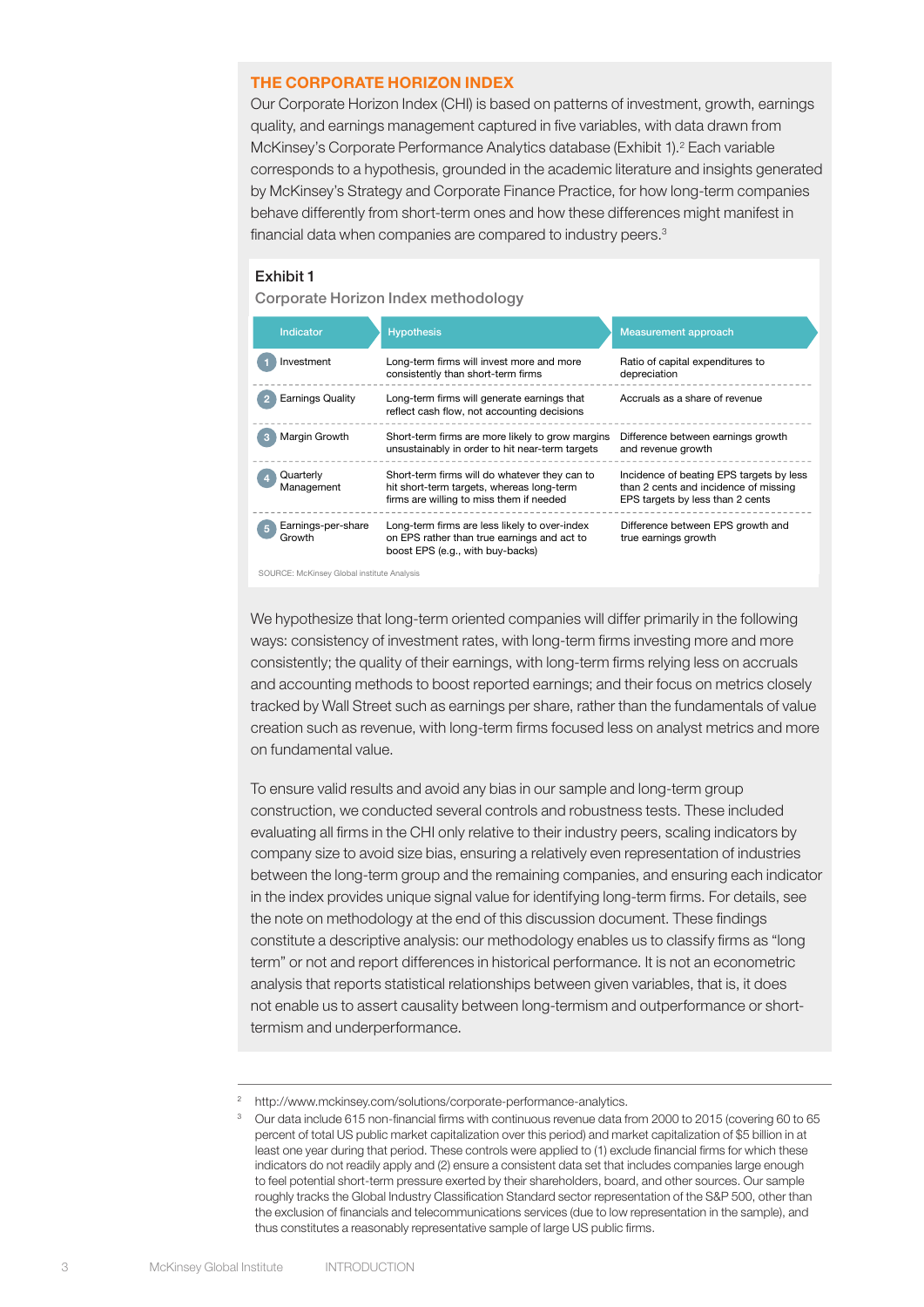#### THE CORPORATE HORIZON INDEX

Our Corporate Horizon Index (CHI) is based on patterns of investment, growth, earnings quality, and earnings management captured in five variables, with data drawn from McKinsey's Corporate Performance Analytics database (Exhibit 1).<sup>2</sup> Each variable corresponds to a hypothesis, grounded in the academic literature and insights generated by McKinsey's Strategy and Corporate Finance Practice, for how long-term companies behave differently from short-term ones and how these differences might manifest in financial data when companies are compared to industry peers.<sup>3</sup>

#### Exhibit 1 Exhibit 1

Corporate Horizon Index methodology



SOURCE: McKinsey Global institute Analysis

We hypothesize that long-term oriented companies will differ primarily in the following ways: consistency of investment rates, with long-term firms investing more and more consistently; the quality of their earnings, with long-term firms relying less on accruals and accounting methods to boost reported earnings; and their focus on metrics closely tracked by Wall Street such as earnings per share, rather than the fundamentals of value creation such as revenue, with long-term firms focused less on analyst metrics and more on fundamental value.

To ensure valid results and avoid any bias in our sample and long-term group construction, we conducted several controls and robustness tests. These included evaluating all firms in the CHI only relative to their industry peers, scaling indicators by company size to avoid size bias, ensuring a relatively even representation of industries between the long-term group and the remaining companies, and ensuring each indicator in the index provides unique signal value for identifying long-term firms. For details, see the note on methodology at the end of this discussion document. These findings constitute a descriptive analysis: our methodology enables us to classify firms as "long term" or not and report differences in historical performance. It is not an econometric analysis that reports statistical relationships between given variables, that is, it does not enable us to assert causality between long-termism and outperformance or shorttermism and underperformance.

<sup>&</sup>lt;sup>2</sup> http://www.mckinsey.com/solutions/corporate-performance-analytics.

<sup>3</sup> Our data include 615 non-financial firms with continuous revenue data from 2000 to 2015 (covering 60 to 65 percent of total US public market capitalization over this period) and market capitalization of \$5 billion in at least one year during that period. These controls were applied to (1) exclude financial firms for which these indicators do not readily apply and (2) ensure a consistent data set that includes companies large enough to feel potential short-term pressure exerted by their shareholders, board, and other sources. Our sample roughly tracks the Global Industry Classification Standard sector representation of the S&P 500, other than the exclusion of financials and telecommunications services (due to low representation in the sample), and thus constitutes a reasonably representative sample of large US public firms.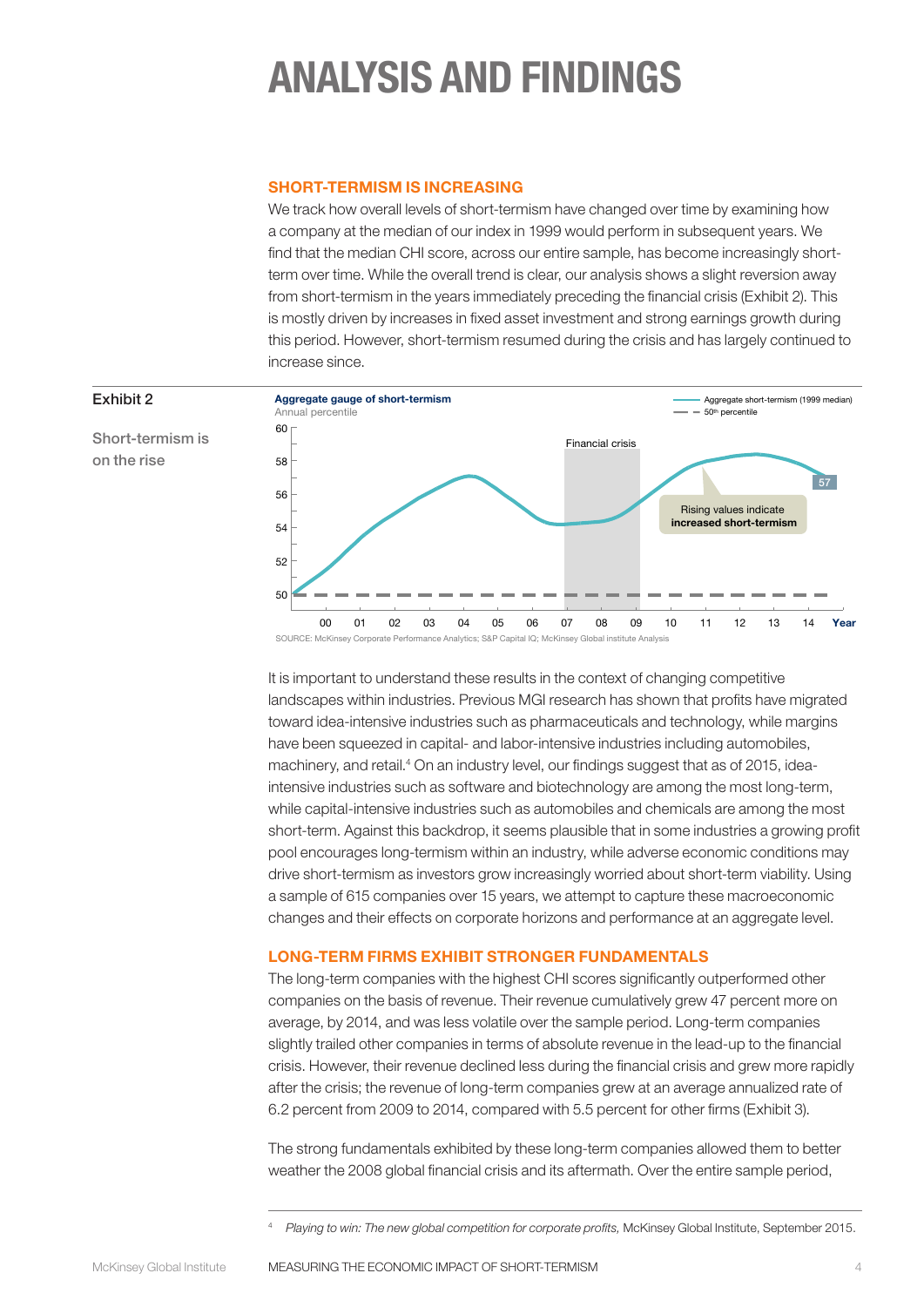# ANALYSIS AND FINDINGS

#### SHORT-TERMISM IS INCREASING

We track how overall levels of short-termism have changed over time by examining how a company at the median of our index in 1999 would perform in subsequent years. We find that the median CHI score, across our entire sample, has become increasingly shortterm over time. While the overall trend is clear, our analysis shows a slight reversion away from short-termism in the years immediately preceding the financial crisis (Exhibit 2). This is mostly driven by increases in fixed asset investment and strong earnings growth during this period. However, short-termism resumed during the crisis and has largely continued to increase since. A company at the median of our index in 1999 would be long-term in all subsequent years due to



Short-termism is on the rise

Exhibit 2

It is important to understand these results in the context of changing competitive landscapes within industries. Previous MGI research has shown that profits have migrated toward idea-intensive industries such as pharmaceuticals and technology, while margins have been squeezed in capital- and labor-intensive industries including automobiles, machinery, and retail.<sup>4</sup> On an industry level, our findings suggest that as of 2015, ideaintensive industries such as software and biotechnology are among the most long-term, while capital-intensive industries such as automobiles and chemicals are among the most short-term. Against this backdrop, it seems plausible that in some industries a growing profit pool encourages long-termism within an industry, while adverse economic conditions may drive short-termism as investors grow increasingly worried about short-term viability. Using a sample of 615 companies over 15 years, we attempt to capture these macroeconomic changes and their effects on corporate horizons and performance at an aggregate level.

#### LONG-TERM FIRMS EXHIBIT STRONGER FUNDAMENTALS

The long-term companies with the highest CHI scores significantly outperformed other companies on the basis of revenue. Their revenue cumulatively grew 47 percent more on average, by 2014, and was less volatile over the sample period. Long-term companies slightly trailed other companies in terms of absolute revenue in the lead-up to the financial crisis. However, their revenue declined less during the financial crisis and grew more rapidly after the crisis; the revenue of long-term companies grew at an average annualized rate of 6.2 percent from 2009 to 2014, compared with 5.5 percent for other firms (Exhibit 3).

The strong fundamentals exhibited by these long-term companies allowed them to better weather the 2008 global financial crisis and its aftermath. Over the entire sample period,

<sup>4</sup> *Playing to win: The new global competition for corporate profits,* McKinsey Global Institute, September 2015.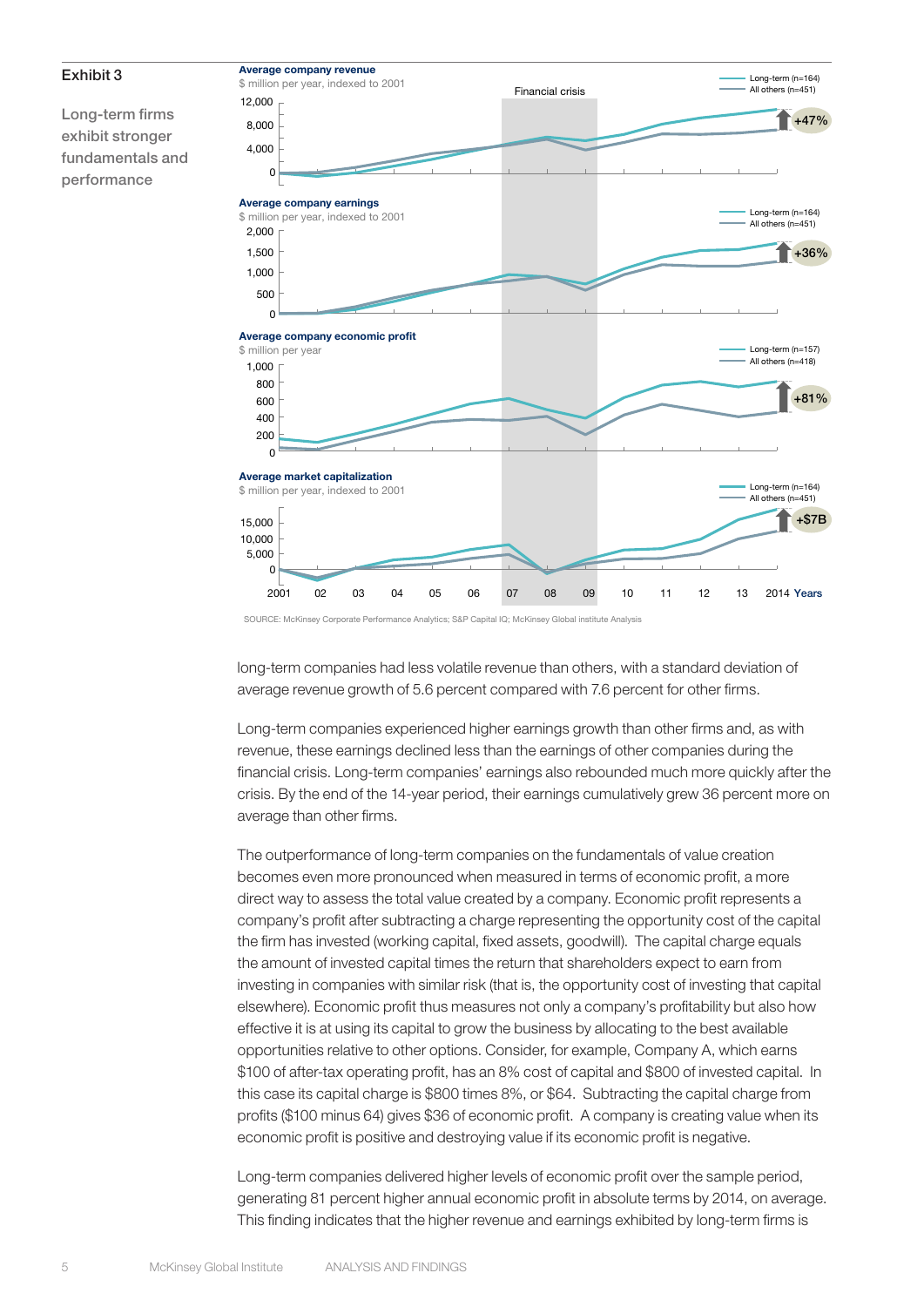

SOURCE: McKinsey Corporate Performance Analytics; S&P Capital IQ; McKinsey Global institute Analysis

long-term companies had less volatile revenue than others, with a standard deviation of average revenue growth of 5.6 percent compared with 7.6 percent for other firms.

Long-term companies experienced higher earnings growth than other firms and, as with revenue, these earnings declined less than the earnings of other companies during the financial crisis. Long-term companies' earnings also rebounded much more quickly after the crisis. By the end of the 14-year period, their earnings cumulatively grew 36 percent more on average than other firms.

The outperformance of long-term companies on the fundamentals of value creation becomes even more pronounced when measured in terms of economic profit, a more direct way to assess the total value created by a company. Economic profit represents a company's profit after subtracting a charge representing the opportunity cost of the capital the firm has invested (working capital, fixed assets, goodwill). The capital charge equals the amount of invested capital times the return that shareholders expect to earn from investing in companies with similar risk (that is, the opportunity cost of investing that capital elsewhere). Economic profit thus measures not only a company's profitability but also how effective it is at using its capital to grow the business by allocating to the best available opportunities relative to other options. Consider, for example, Company A, which earns \$100 of after-tax operating profit, has an 8% cost of capital and \$800 of invested capital. In this case its capital charge is \$800 times 8%, or \$64. Subtracting the capital charge from profits (\$100 minus 64) gives \$36 of economic profit. A company is creating value when its economic profit is positive and destroying value if its economic profit is negative.

Long-term companies delivered higher levels of economic profit over the sample period, generating 81 percent higher annual economic profit in absolute terms by 2014, on average. This finding indicates that the higher revenue and earnings exhibited by long-term firms is

Exhibit 3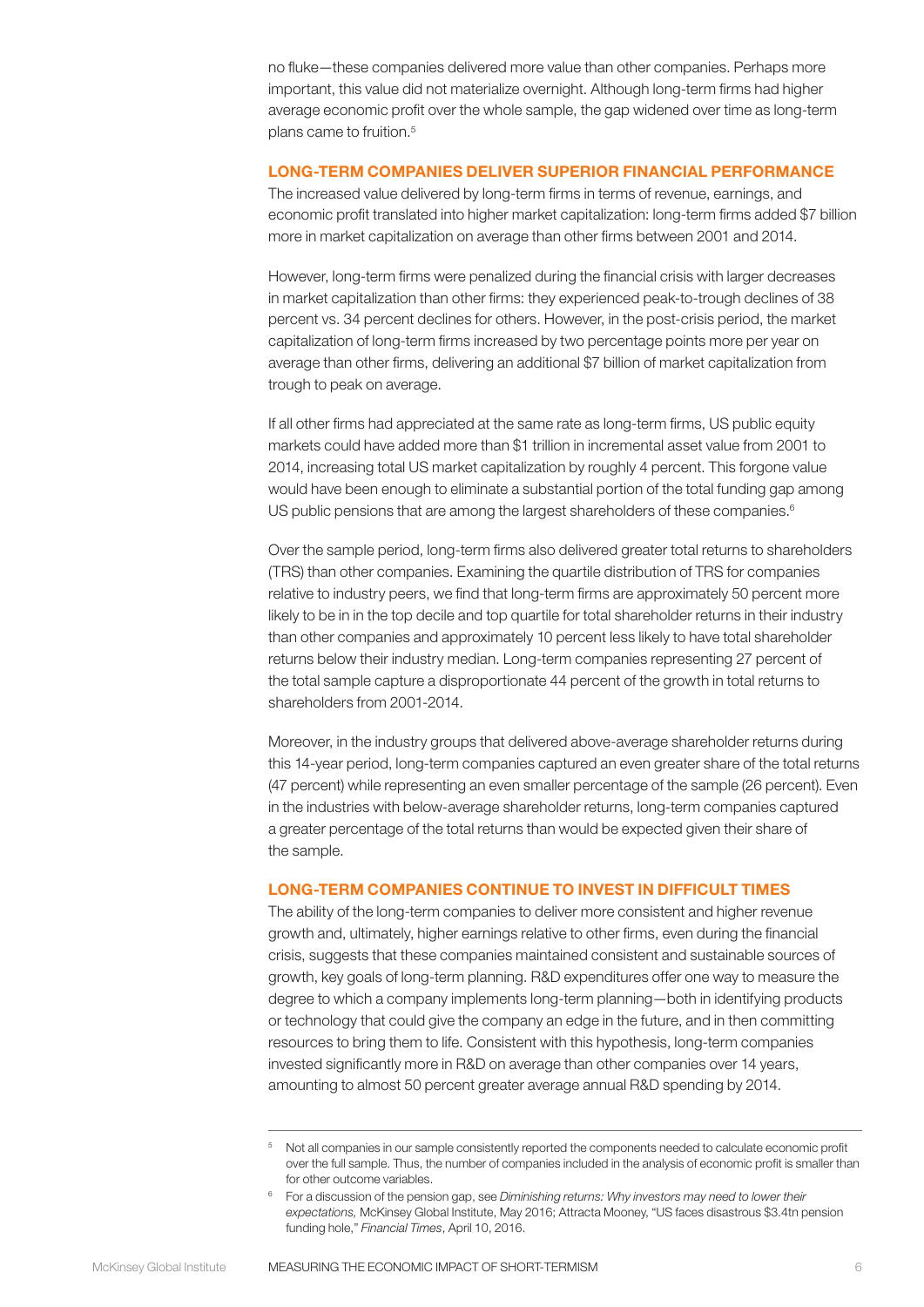no fluke—these companies delivered more value than other companies. Perhaps more important, this value did not materialize overnight. Although long-term firms had higher average economic profit over the whole sample, the gap widened over time as long-term plans came to fruition.5

#### LONG-TERM COMPANIES DELIVER SUPERIOR FINANCIAL PERFORMANCE

The increased value delivered by long-term firms in terms of revenue, earnings, and economic profit translated into higher market capitalization: long-term firms added \$7 billion more in market capitalization on average than other firms between 2001 and 2014.

However, long-term firms were penalized during the financial crisis with larger decreases in market capitalization than other firms: they experienced peak-to-trough declines of 38 percent vs. 34 percent declines for others. However, in the post-crisis period, the market capitalization of long-term firms increased by two percentage points more per year on average than other firms, delivering an additional \$7 billion of market capitalization from trough to peak on average.

If all other firms had appreciated at the same rate as long-term firms, US public equity markets could have added more than \$1 trillion in incremental asset value from 2001 to 2014, increasing total US market capitalization by roughly 4 percent. This forgone value would have been enough to eliminate a substantial portion of the total funding gap among US public pensions that are among the largest shareholders of these companies.<sup>6</sup>

Over the sample period, long-term firms also delivered greater total returns to shareholders (TRS) than other companies. Examining the quartile distribution of TRS for companies relative to industry peers, we find that long-term firms are approximately 50 percent more likely to be in in the top decile and top quartile for total shareholder returns in their industry than other companies and approximately 10 percent less likely to have total shareholder returns below their industry median. Long-term companies representing 27 percent of the total sample capture a disproportionate 44 percent of the growth in total returns to shareholders from 2001-2014.

Moreover, in the industry groups that delivered above-average shareholder returns during this 14-year period, long-term companies captured an even greater share of the total returns (47 percent) while representing an even smaller percentage of the sample (26 percent). Even in the industries with below-average shareholder returns, long-term companies captured a greater percentage of the total returns than would be expected given their share of the sample.

#### LONG-TERM COMPANIES CONTINUE TO INVEST IN DIFFICULT TIMES

The ability of the long-term companies to deliver more consistent and higher revenue growth and, ultimately, higher earnings relative to other firms, even during the financial crisis, suggests that these companies maintained consistent and sustainable sources of growth, key goals of long-term planning. R&D expenditures offer one way to measure the degree to which a company implements long-term planning—both in identifying products or technology that could give the company an edge in the future, and in then committing resources to bring them to life. Consistent with this hypothesis, long-term companies invested significantly more in R&D on average than other companies over 14 years, amounting to almost 50 percent greater average annual R&D spending by 2014.

<sup>&</sup>lt;sup>5</sup> Not all companies in our sample consistently reported the components needed to calculate economic profit over the full sample. Thus, the number of companies included in the analysis of economic profit is smaller than for other outcome variables.

<sup>6</sup> For a discussion of the pension gap, see *Diminishing returns: Why investors may need to lower their expectations,* McKinsey Global Institute, May 2016; Attracta Mooney, "US faces disastrous \$3.4tn pension funding hole," *Financial Times*, April 10, 2016.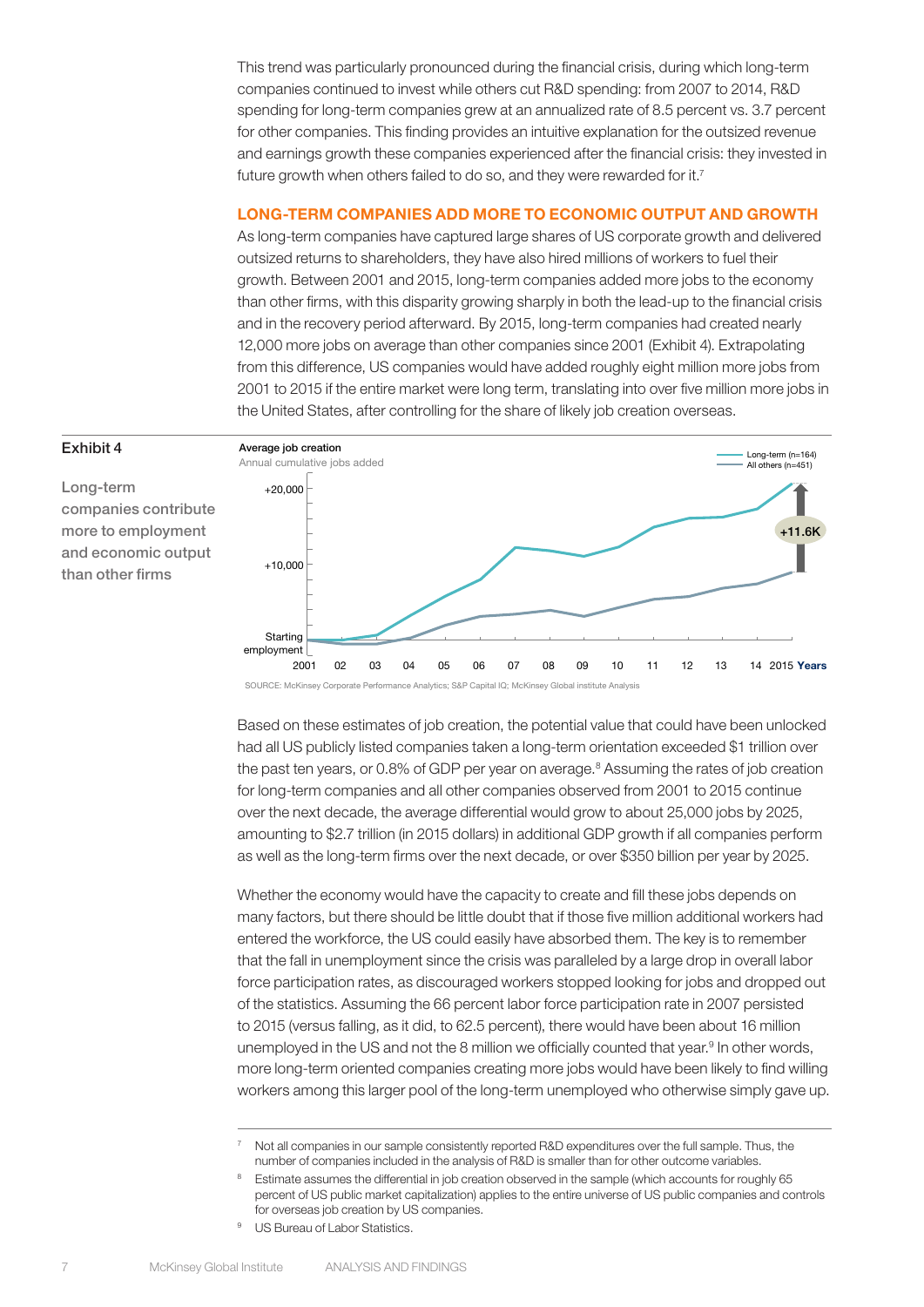This trend was particularly pronounced during the financial crisis, during which long-term companies continued to invest while others cut R&D spending: from 2007 to 2014, R&D spending for long-term companies grew at an annualized rate of 8.5 percent vs. 3.7 percent for other companies. This finding provides an intuitive explanation for the outsized revenue and earnings growth these companies experienced after the financial crisis: they invested in future growth when others failed to do so, and they were rewarded for it.<sup>7</sup>

#### LONG-TERM COMPANIES ADD MORE TO ECONOMIC OUTPUT AND GROWTH

As long-term companies have captured large shares of US corporate growth and delivered outsized returns to shareholders, they have also hired millions of workers to fuel their growth. Between 2001 and 2015, long-term companies added more jobs to the economy than other firms, with this disparity growing sharply in both the lead-up to the financial crisis and in the recovery period afterward. By 2015, long-term companies had created nearly 12,000 more jobs on average than other companies since 2001 (Exhibit 4). Extrapolating from this difference, US companies would have added roughly eight million more jobs from 2001 to 2015 if the entire market were long term, translating into over five million more jobs in the United States, after controlling for the share of likely job creation overseas. a lo Orlitou Otatoo, t

#### Exhibit 4

Long-term companies contribute more to employment and economic output than other firms



SOURCE: McKinsey Corporate Performance Analytics; S&P Capital IQ; McKinsey Global institute Analysis

Based on these estimates of job creation, the potential value that could have been unlocked had all US publicly listed companies taken a long-term orientation exceeded \$1 trillion over the past ten years, or 0.8% of GDP per year on average.<sup>8</sup> Assuming the rates of job creation for long-term companies and all other companies observed from 2001 to 2015 continue over the next decade, the average differential would grow to about 25,000 jobs by 2025, amounting to \$2.7 trillion (in 2015 dollars) in additional GDP growth if all companies perform as well as the long-term firms over the next decade, or over \$350 billion per year by 2025.

Whether the economy would have the capacity to create and fill these jobs depends on many factors, but there should be little doubt that if those five million additional workers had entered the workforce, the US could easily have absorbed them. The key is to remember that the fall in unemployment since the crisis was paralleled by a large drop in overall labor force participation rates, as discouraged workers stopped looking for jobs and dropped out of the statistics. Assuming the 66 percent labor force participation rate in 2007 persisted to 2015 (versus falling, as it did, to 62.5 percent), there would have been about 16 million unemployed in the US and not the 8 million we officially counted that year.<sup>9</sup> In other words, more long-term oriented companies creating more jobs would have been likely to find willing workers among this larger pool of the long-term unemployed who otherwise simply gave up.

<sup>&</sup>lt;sup>7</sup> Not all companies in our sample consistently reported R&D expenditures over the full sample. Thus, the number of companies included in the analysis of R&D is smaller than for other outcome variables.

<sup>&</sup>lt;sup>8</sup> Estimate assumes the differential in job creation observed in the sample (which accounts for roughly 65 percent of US public market capitalization) applies to the entire universe of US public companies and controls for overseas job creation by US companies.

<sup>&</sup>lt;sup>9</sup> US Bureau of Labor Statistics.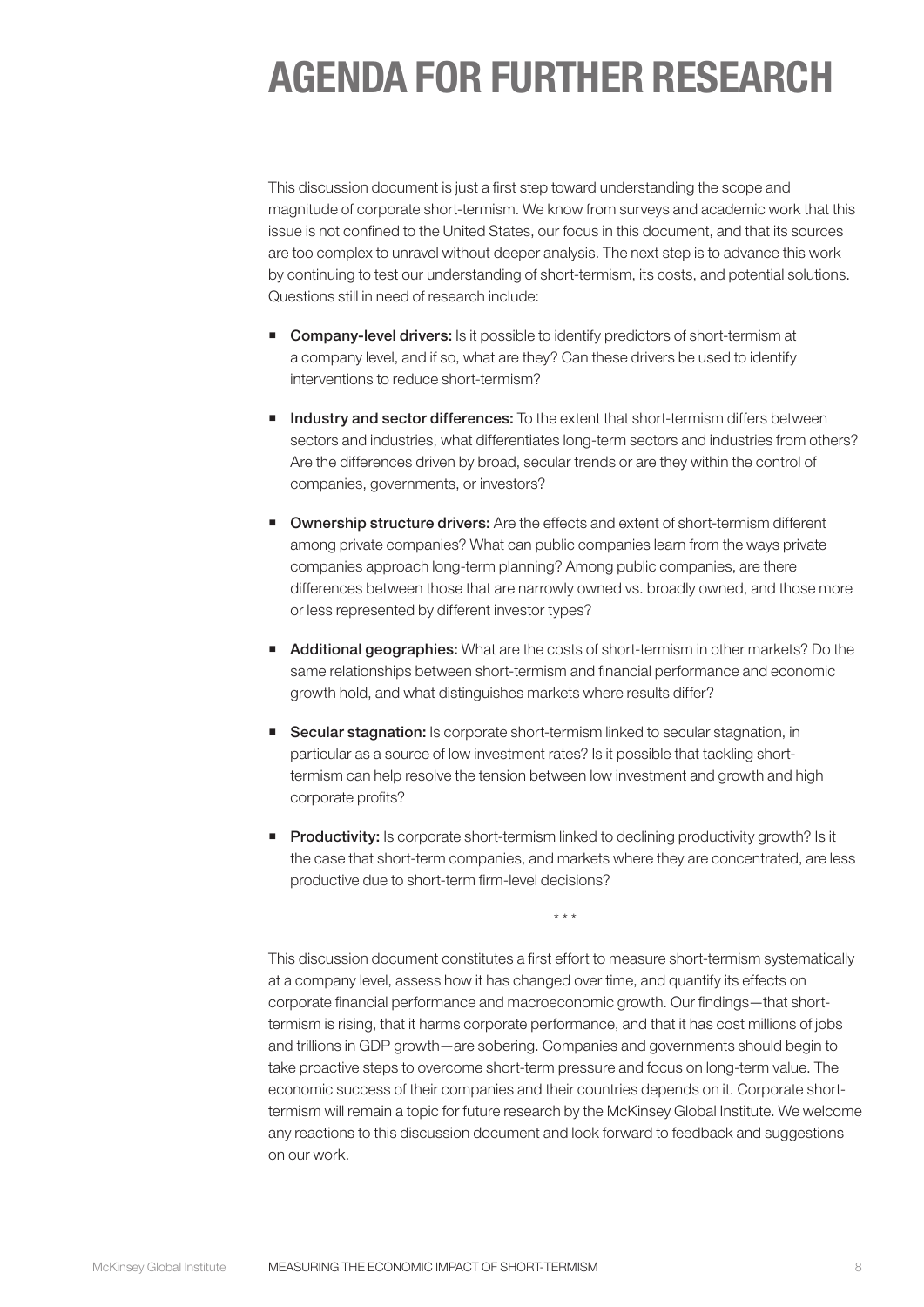# AGENDA FOR FURTHER RESEARCH

This discussion document is just a first step toward understanding the scope and magnitude of corporate short-termism. We know from surveys and academic work that this issue is not confined to the United States, our focus in this document, and that its sources are too complex to unravel without deeper analysis. The next step is to advance this work by continuing to test our understanding of short-termism, its costs, and potential solutions. Questions still in need of research include:

- **Company-level drivers:** Is it possible to identify predictors of short-termism at a company level, and if so, what are they? Can these drivers be used to identify interventions to reduce short-termism?
- Industry and sector differences: To the extent that short-termism differs between sectors and industries, what differentiates long-term sectors and industries from others? Are the differences driven by broad, secular trends or are they within the control of companies, governments, or investors?
- **Ownership structure drivers:** Are the effects and extent of short-termism different among private companies? What can public companies learn from the ways private companies approach long-term planning? Among public companies, are there differences between those that are narrowly owned vs. broadly owned, and those more or less represented by different investor types?
- Additional geographies: What are the costs of short-termism in other markets? Do the same relationships between short-termism and financial performance and economic growth hold, and what distinguishes markets where results differ?
- Secular stagnation: Is corporate short-termism linked to secular stagnation, in particular as a source of low investment rates? Is it possible that tackling shorttermism can help resolve the tension between low investment and growth and high corporate profits?
- **Productivity:** Is corporate short-termism linked to declining productivity growth? Is it the case that short-term companies, and markets where they are concentrated, are less productive due to short-term firm-level decisions?

\* \* \*

This discussion document constitutes a first effort to measure short-termism systematically at a company level, assess how it has changed over time, and quantify its effects on corporate financial performance and macroeconomic growth. Our findings—that shorttermism is rising, that it harms corporate performance, and that it has cost millions of jobs and trillions in GDP growth—are sobering. Companies and governments should begin to take proactive steps to overcome short-term pressure and focus on long-term value. The economic success of their companies and their countries depends on it. Corporate shorttermism will remain a topic for future research by the McKinsey Global Institute. We welcome any reactions to this discussion document and look forward to feedback and suggestions on our work.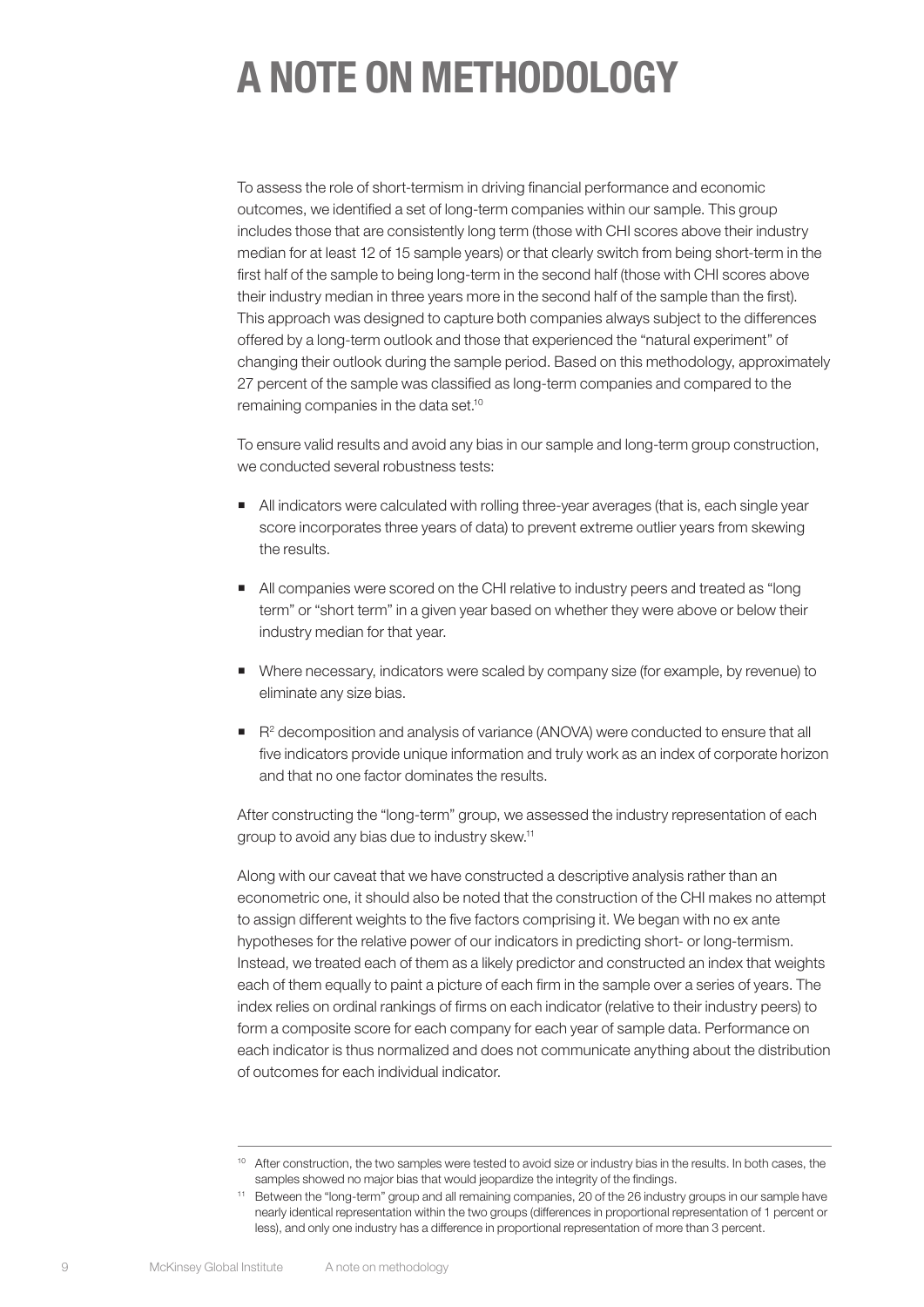# A NOTE ON METHODOLOGY

To assess the role of short-termism in driving financial performance and economic outcomes, we identified a set of long-term companies within our sample. This group includes those that are consistently long term (those with CHI scores above their industry median for at least 12 of 15 sample years) or that clearly switch from being short-term in the first half of the sample to being long-term in the second half (those with CHI scores above their industry median in three years more in the second half of the sample than the first). This approach was designed to capture both companies always subject to the differences offered by a long-term outlook and those that experienced the "natural experiment" of changing their outlook during the sample period. Based on this methodology, approximately 27 percent of the sample was classified as long-term companies and compared to the remaining companies in the data set.10

To ensure valid results and avoid any bias in our sample and long-term group construction, we conducted several robustness tests:

- All indicators were calculated with rolling three-year averages (that is, each single year score incorporates three years of data) to prevent extreme outlier years from skewing the results.
- All companies were scored on the CHI relative to industry peers and treated as "long term" or "short term" in a given year based on whether they were above or below their industry median for that year.
- Where necessary, indicators were scaled by company size (for example, by revenue) to eliminate any size bias.
- $\blacksquare$  R<sup>2</sup> decomposition and analysis of variance (ANOVA) were conducted to ensure that all five indicators provide unique information and truly work as an index of corporate horizon and that no one factor dominates the results.

After constructing the "long-term" group, we assessed the industry representation of each group to avoid any bias due to industry skew.11

Along with our caveat that we have constructed a descriptive analysis rather than an econometric one, it should also be noted that the construction of the CHI makes no attempt to assign different weights to the five factors comprising it. We began with no ex ante hypotheses for the relative power of our indicators in predicting short- or long-termism. Instead, we treated each of them as a likely predictor and constructed an index that weights each of them equally to paint a picture of each firm in the sample over a series of years. The index relies on ordinal rankings of firms on each indicator (relative to their industry peers) to form a composite score for each company for each year of sample data. Performance on each indicator is thus normalized and does not communicate anything about the distribution of outcomes for each individual indicator.

<sup>&</sup>lt;sup>10</sup> After construction, the two samples were tested to avoid size or industry bias in the results. In both cases, the samples showed no major bias that would jeopardize the integrity of the findings.

<sup>11</sup> Between the "long-term" group and all remaining companies, 20 of the 26 industry groups in our sample have nearly identical representation within the two groups (differences in proportional representation of 1 percent or less), and only one industry has a difference in proportional representation of more than 3 percent.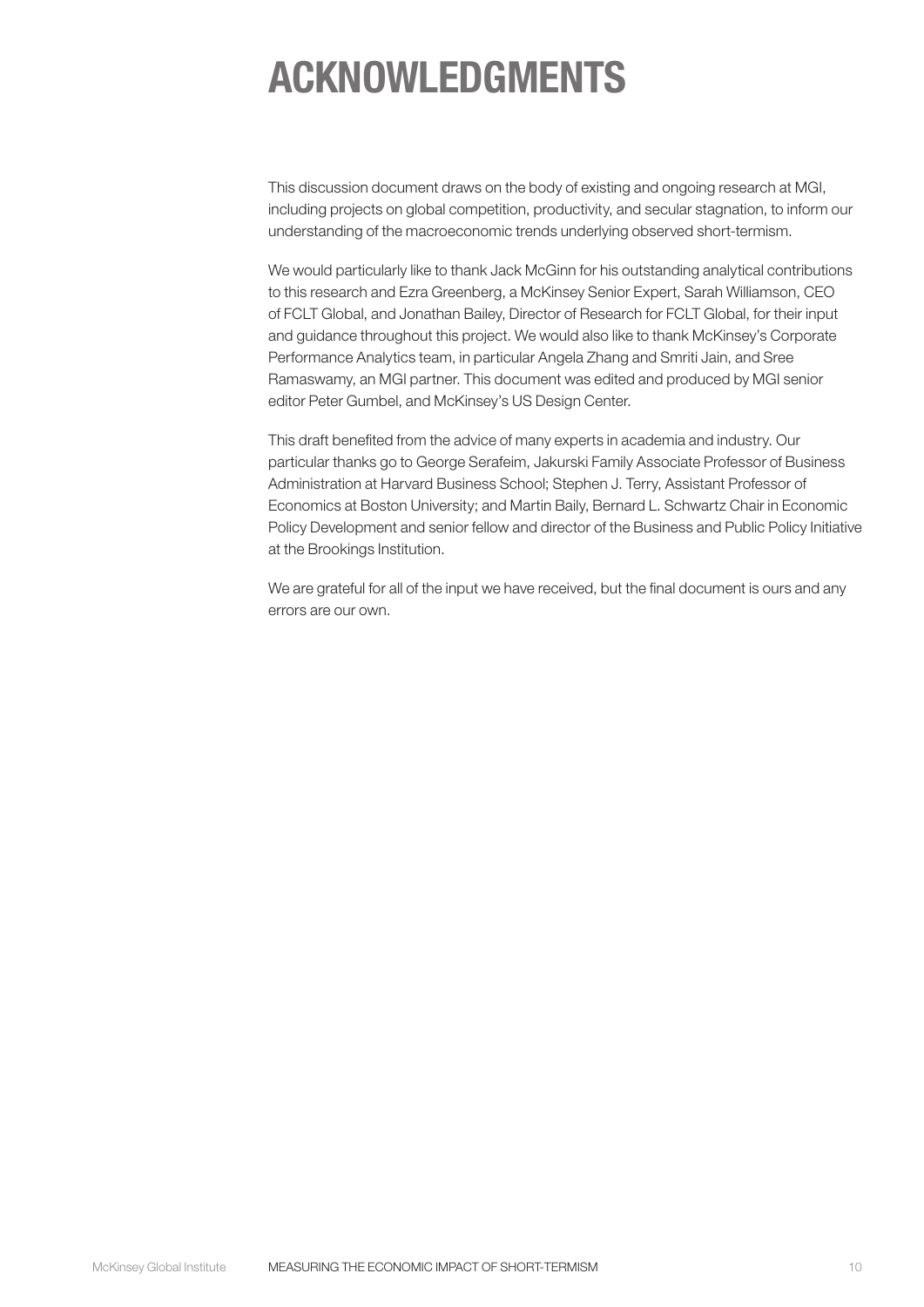# ACKNOWLEDGMENTS

This discussion document draws on the body of existing and ongoing research at MGI, including projects on global competition, productivity, and secular stagnation, to inform our understanding of the macroeconomic trends underlying observed short-termism.

We would particularly like to thank Jack McGinn for his outstanding analytical contributions to this research and Ezra Greenberg, a McKinsey Senior Expert, Sarah Williamson, CEO of FCLT Global, and Jonathan Bailey, Director of Research for FCLT Global, for their input and guidance throughout this project. We would also like to thank McKinsey's Corporate Performance Analytics team, in particular Angela Zhang and Smriti Jain, and Sree Ramaswamy, an MGI partner. This document was edited and produced by MGI senior editor Peter Gumbel, and McKinsey's US Design Center.

This draft benefited from the advice of many experts in academia and industry. Our particular thanks go to George Serafeim, Jakurski Family Associate Professor of Business Administration at Harvard Business School; Stephen J. Terry, Assistant Professor of Economics at Boston University; and Martin Baily, Bernard L. Schwartz Chair in Economic Policy Development and senior fellow and director of the Business and Public Policy Initiative at the Brookings Institution.

We are grateful for all of the input we have received, but the final document is ours and any errors are our own.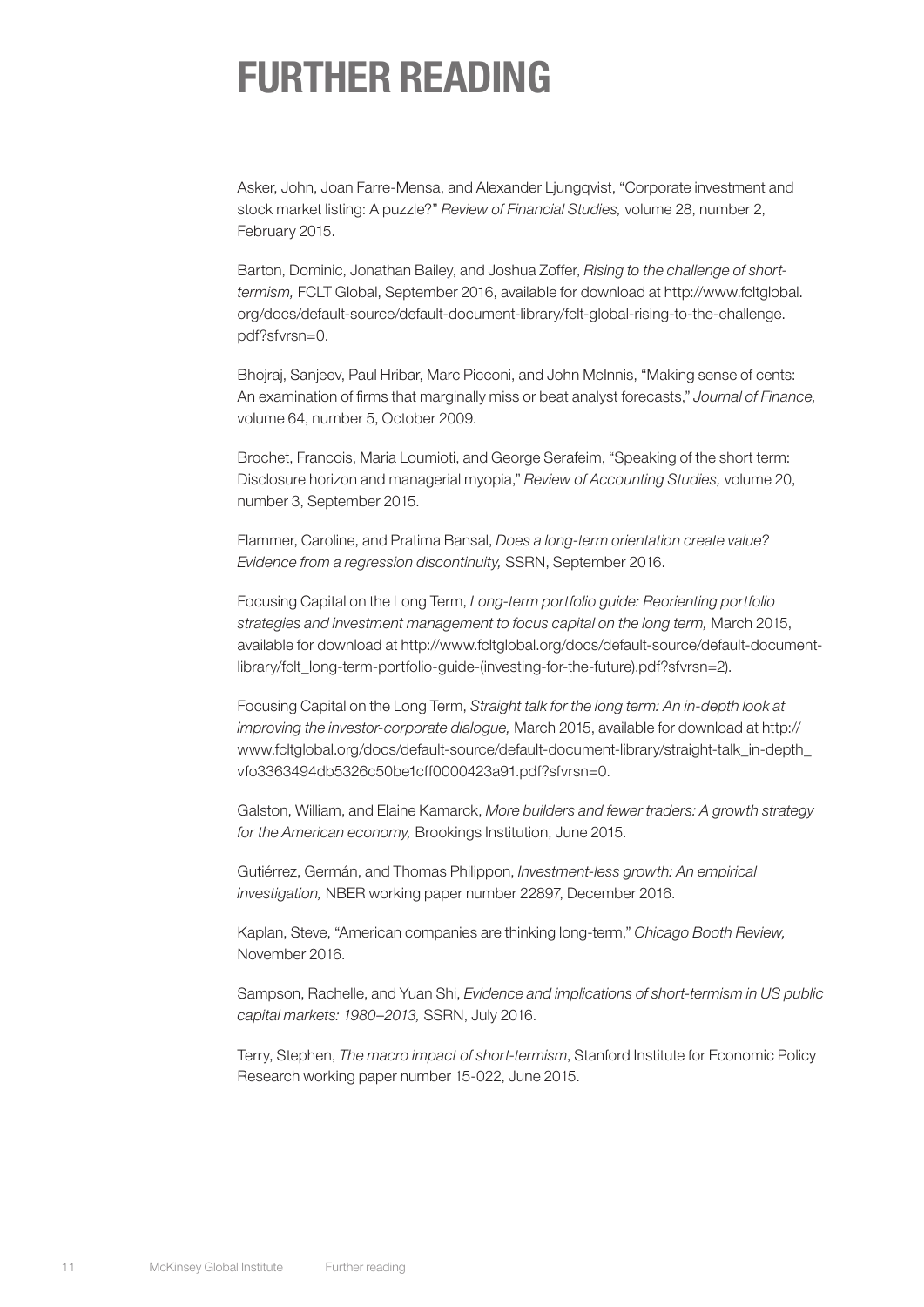### FURTHER READING

Asker, John, Joan Farre-Mensa, and Alexander Ljungqvist, "Corporate investment and stock market listing: A puzzle?" *Review of Financial Studies,* volume 28, number 2, February 2015.

Barton, Dominic, Jonathan Bailey, and Joshua Zoffer, *Rising to the challenge of shorttermism,* FCLT Global, September 2016, available for download at http://www.fcltglobal. org/docs/default-source/default-document-library/fclt-global-rising-to-the-challenge. pdf?sfvrsn=0.

Bhojraj, Sanjeev, Paul Hribar, Marc Picconi, and John McInnis, "Making sense of cents: An examination of firms that marginally miss or beat analyst forecasts," *Journal of Finance,*  volume 64, number 5, October 2009.

Brochet, Francois, Maria Loumioti, and George Serafeim, "Speaking of the short term: Disclosure horizon and managerial myopia," *Review of Accounting Studies,* volume 20, number 3, September 2015.

Flammer, Caroline, and Pratima Bansal, *Does a long-term orientation create value? Evidence from a regression discontinuity,* SSRN, September 2016.

Focusing Capital on the Long Term, *Long-term portfolio guide: Reorienting portfolio strategies and investment management to focus capital on the long term,* March 2015, available for download at http://www.fcltglobal.org/docs/default-source/default-documentlibrary/fclt\_long-term-portfolio-guide-(investing-for-the-future).pdf?sfvrsn=2).

Focusing Capital on the Long Term, *Straight talk for the long term: An in-depth look at improving the investor-corporate dialogue,* March 2015, available for download at http:// www.fcltglobal.org/docs/default-source/default-document-library/straight-talk\_in-depth\_ vfo3363494db5326c50be1cff0000423a91.pdf?sfvrsn=0.

Galston, William, and Elaine Kamarck, *More builders and fewer traders: A growth strategy for the American economy,* Brookings Institution, June 2015.

Gutiérrez, Germán, and Thomas Philippon, *Investment-less growth: An empirical investigation,* NBER working paper number 22897, December 2016.

Kaplan, Steve, "American companies are thinking long-term," *Chicago Booth Review,*  November 2016.

Sampson, Rachelle, and Yuan Shi, *Evidence and implications of short-termism in US public capital markets: 1980–2013,* SSRN, July 2016.

Terry, Stephen, *The macro impact of short-termism*, Stanford Institute for Economic Policy Research working paper number 15-022, June 2015.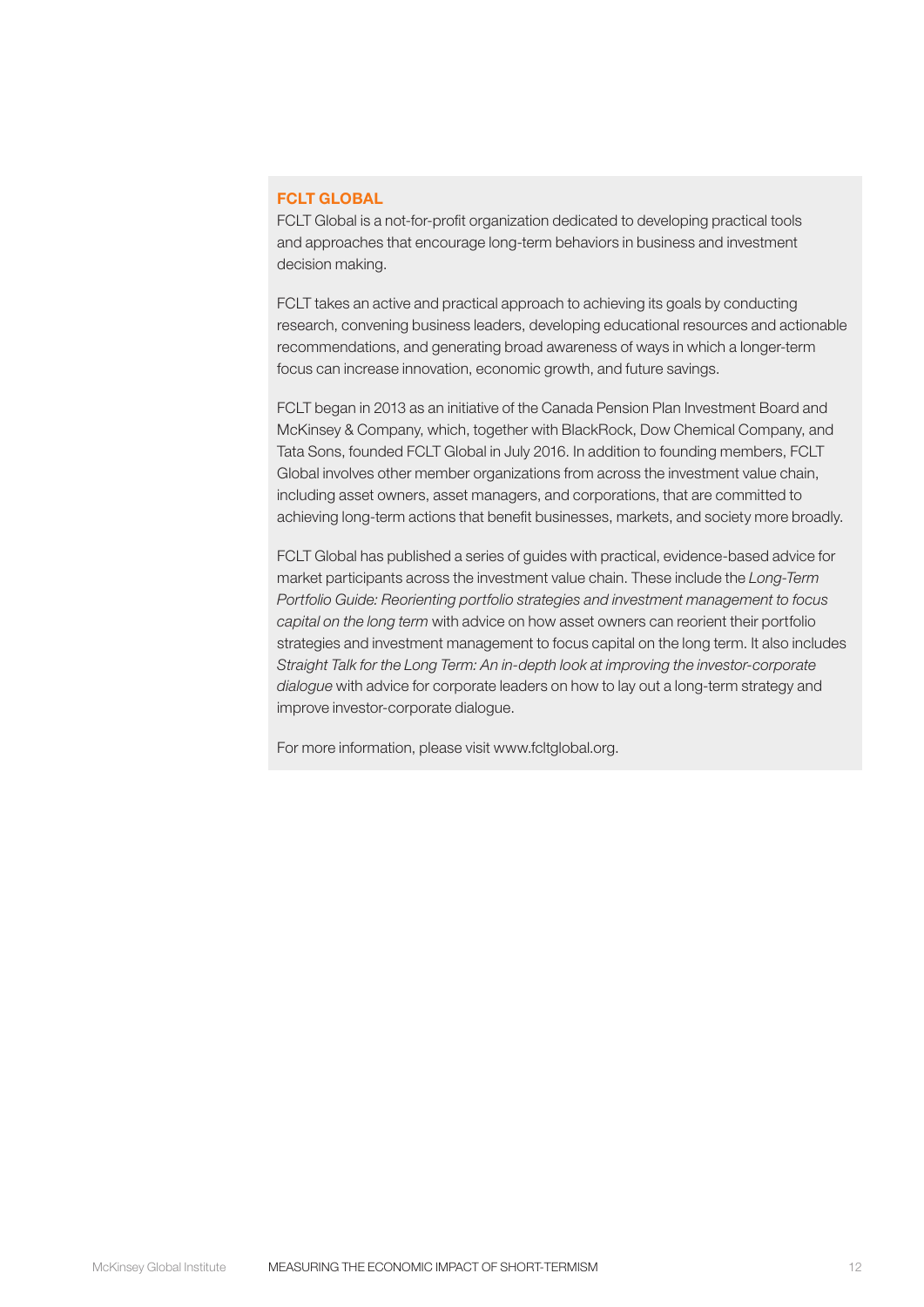#### FCLT GLOBAL

FCLT Global is a not-for-profit organization dedicated to developing practical tools and approaches that encourage long-term behaviors in business and investment decision making.

FCLT takes an active and practical approach to achieving its goals by conducting research, convening business leaders, developing educational resources and actionable recommendations, and generating broad awareness of ways in which a longer-term focus can increase innovation, economic growth, and future savings.

FCLT began in 2013 as an initiative of the Canada Pension Plan Investment Board and McKinsey & Company, which, together with BlackRock, Dow Chemical Company, and Tata Sons, founded FCLT Global in July 2016. In addition to founding members, FCLT Global involves other member organizations from across the investment value chain, including asset owners, asset managers, and corporations, that are committed to achieving long-term actions that benefit businesses, markets, and society more broadly.

FCLT Global has published a series of guides with practical, evidence-based advice for market participants across the investment value chain. These include the *Long-Term Portfolio Guide: Reorienting portfolio strategies and investment management to focus capital on the long term* with advice on how asset owners can reorient their portfolio strategies and investment management to focus capital on the long term. It also includes *Straight Talk for the Long Term: An in-depth look at improving the investor-corporate dialogue* with advice for corporate leaders on how to lay out a long-term strategy and improve investor-corporate dialogue.

For more information, please visit www.fcltglobal.org.